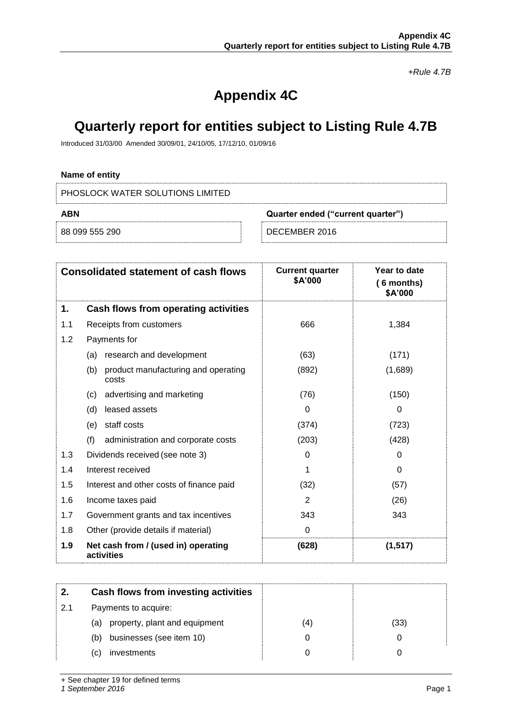*+Rule 4.7B*

# **Appendix 4C**

## **Quarterly report for entities subject to Listing Rule 4.7B**

Introduced 31/03/00 Amended 30/09/01, 24/10/05, 17/12/10, 01/09/16

## **Name of entity**

PHOSLOCK WATER SOLUTIONS LIMITED

| ABN            | Quarter ended ("current quarter") |  |
|----------------|-----------------------------------|--|
| 88 099 555 290 | DECEMBER 2016                     |  |

|     | <b>Consolidated statement of cash flows</b>         | <b>Current quarter</b><br>\$A'000 | Year to date<br>$(6$ months)<br>\$A'000 |
|-----|-----------------------------------------------------|-----------------------------------|-----------------------------------------|
| 1.  | Cash flows from operating activities                |                                   |                                         |
| 1.1 | Receipts from customers                             | 666                               | 1,384                                   |
| 1.2 | Payments for                                        |                                   |                                         |
|     | research and development<br>(a)                     | (63)                              | (171)                                   |
|     | (b)<br>product manufacturing and operating<br>costs | (892)                             | (1,689)                                 |
|     | advertising and marketing<br>(c)                    | (76)                              | (150)                                   |
|     | (d)<br>leased assets                                | 0                                 | 0                                       |
|     | staff costs<br>(e)                                  | (374)                             | (723)                                   |
|     | (f)<br>administration and corporate costs           | (203)                             | (428)                                   |
| 1.3 | Dividends received (see note 3)                     | 0                                 | 0                                       |
| 1.4 | Interest received                                   | 1                                 | $\Omega$                                |
| 1.5 | Interest and other costs of finance paid            | (32)                              | (57)                                    |
| 1.6 | Income taxes paid                                   | 2                                 | (26)                                    |
| 1.7 | Government grants and tax incentives                | 343                               | 343                                     |
| 1.8 | Other (provide details if material)                 | 0                                 |                                         |
| 1.9 | Net cash from / (used in) operating<br>activities   | (628)                             | (1, 517)                                |

|     | Cash flows from investing activities |     |      |
|-----|--------------------------------------|-----|------|
| 2.1 | Payments to acquire:                 |     |      |
|     | property, plant and equipment<br>(a) | (4) | (33) |
|     | businesses (see item 10)<br>(b)      |     |      |
|     | investments<br>C)                    |     |      |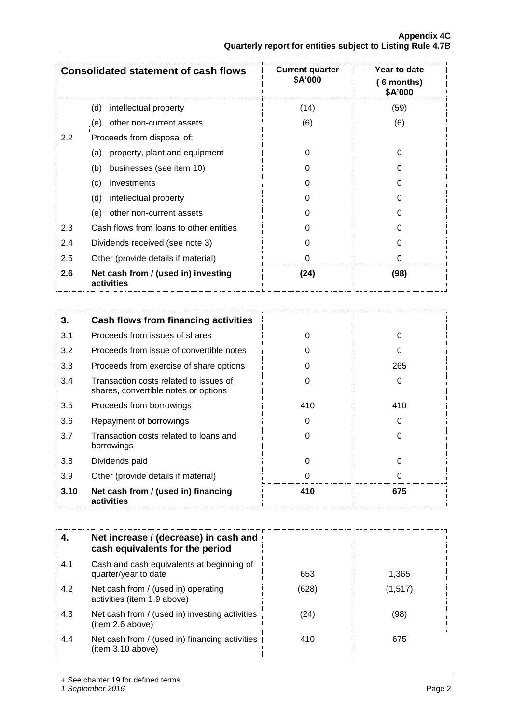|     | <b>Consolidated statement of cash flows</b>       | <b>Current quarter</b><br>\$A'000 | Year to date<br>6 months)<br>\$A'000 |
|-----|---------------------------------------------------|-----------------------------------|--------------------------------------|
|     | intellectual property<br>(d)                      | (14)                              | (59)                                 |
|     | other non-current assets<br>(e)                   | (6)                               | (6)                                  |
| 2.2 | Proceeds from disposal of:                        |                                   |                                      |
|     | property, plant and equipment<br>(a)              | 0                                 | 0                                    |
|     | businesses (see item 10)<br>(b)                   | 0                                 | 0                                    |
|     | (c)<br>investments                                | 0                                 | 0                                    |
|     | intellectual property<br>(d)                      | 0                                 | O                                    |
|     | other non-current assets<br>(e)                   | 0                                 | 0                                    |
| 2.3 | Cash flows from loans to other entities           | 0                                 | O                                    |
| 2.4 | Dividends received (see note 3)                   | 0                                 | 0                                    |
| 2.5 | Other (provide details if material)               | 0                                 | 0                                    |
| 2.6 | Net cash from / (used in) investing<br>activities | (24)                              | (98)                                 |

| 3.   | Cash flows from financing activities                                           |     |     |
|------|--------------------------------------------------------------------------------|-----|-----|
| 3.1  | Proceeds from issues of shares                                                 | 0   | 0   |
| 3.2  | Proceeds from issue of convertible notes                                       | 0   | 0   |
| 3.3  | Proceeds from exercise of share options                                        | 0   | 265 |
| 3.4  | Transaction costs related to issues of<br>shares, convertible notes or options | 0   | 0   |
| 3.5  | Proceeds from borrowings                                                       | 410 | 410 |
| 3.6  | Repayment of borrowings                                                        | 0   | 0   |
| 3.7  | Transaction costs related to loans and<br>borrowings                           | 0   | 0   |
| 3.8  | Dividends paid                                                                 | 0   | 0   |
| 3.9  | Other (provide details if material)                                            | 0   | 0   |
| 3.10 | Net cash from / (used in) financing<br>activities                              | 410 | 675 |

| 4.  | Net increase / (decrease) in cash and<br>cash equivalents for the period |       |         |
|-----|--------------------------------------------------------------------------|-------|---------|
| 4.1 | Cash and cash equivalents at beginning of<br>quarter/year to date        | 653   | 1,365   |
| 4.2 | Net cash from / (used in) operating<br>activities (item 1.9 above)       | (628) | (1,517) |
| 4.3 | Net cash from / (used in) investing activities<br>(item 2.6 above)       | (24)  | (98)    |
| 4.4 | Net cash from / (used in) financing activities<br>(item 3.10 above)      | 410   | 675     |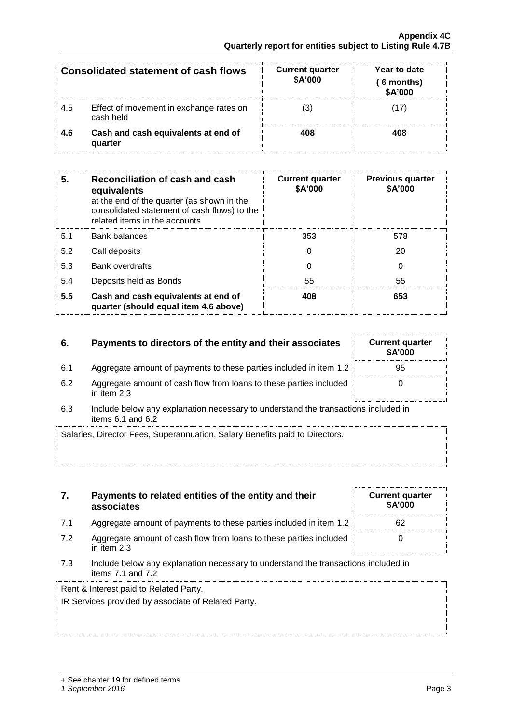**associates**

| <b>Consolidated statement of cash flows</b> |                                                      | <b>Current quarter</b><br>\$A'000 | Year to date<br>$(6$ months)<br>\$A'000 |
|---------------------------------------------|------------------------------------------------------|-----------------------------------|-----------------------------------------|
| 4.5                                         | Effect of movement in exchange rates on<br>cash held | 3)                                | 17                                      |
| 4.6                                         | Cash and cash equivalents at end of<br>quarter       | 408                               | 408                                     |

| 5.  | Reconciliation of cash and cash<br>equivalents<br>at the end of the quarter (as shown in the<br>consolidated statement of cash flows) to the<br>related items in the accounts | <b>Current quarter</b><br>\$A'000 | <b>Previous quarter</b><br>\$A'000 |
|-----|-------------------------------------------------------------------------------------------------------------------------------------------------------------------------------|-----------------------------------|------------------------------------|
| 5.1 | <b>Bank balances</b>                                                                                                                                                          | 353                               | 578                                |
| 5.2 | Call deposits                                                                                                                                                                 | 0                                 | 20                                 |
| 5.3 | <b>Bank overdrafts</b>                                                                                                                                                        | 0                                 | 0                                  |
| 5.4 | Deposits held as Bonds                                                                                                                                                        | 55                                | 55                                 |
| 5.5 | Cash and cash equivalents at end of<br>quarter (should equal item 4.6 above)                                                                                                  | 408                               | 653                                |

## **6.** Payments to directors of the entity and their associates

- 6.1 Aggregate amount of payments to these parties included in item 1.2
- 6.2 Aggregate amount of cash flow from loans to these parties included in item 2.3

**7. Payments to related entities of the entity and their** 

6.3 Include below any explanation necessary to understand the transactions included in items  $6.1$  and  $6.2$ 

| Salaries, Director Fees, Superannuation, Salary Benefits paid to Directors. |
|-----------------------------------------------------------------------------|
|                                                                             |
|                                                                             |

|     | associates                                                                                                  | יט הש |
|-----|-------------------------------------------------------------------------------------------------------------|-------|
| 7.1 | Aggregate amount of payments to these parties included in item 1.2                                          | 62    |
| 7.2 | Aggregate amount of cash flow from loans to these parties included<br>in item 2.3                           |       |
| 7.3 | Include below any explanation necessary to understand the transactions included in<br>items $7.1$ and $7.2$ |       |
|     | Rent & Interest paid to Related Party.                                                                      |       |

IR Services provided by associate of Related Party.

| <b>Current quarter</b><br>\$A'000 |  |
|-----------------------------------|--|
| 95                                |  |
| O                                 |  |

**Current quarter \$A'000**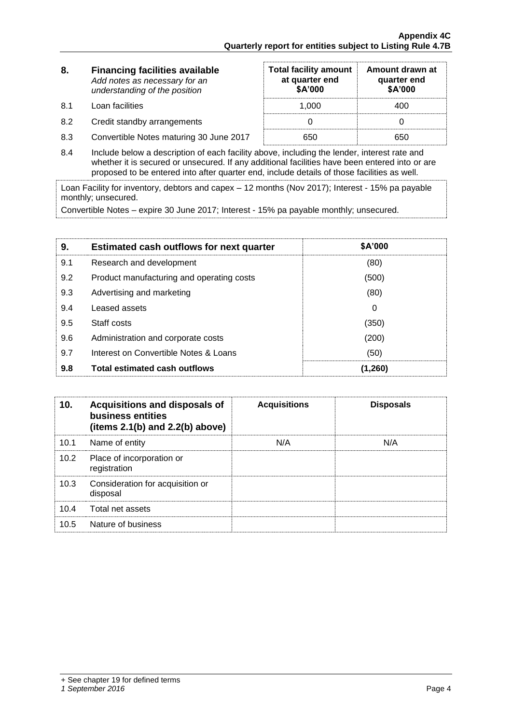**Amount drawn at quarter end \$A'000**

| 8.  | <b>Financing facilities available</b> | <b>Total facility amount</b> | Amount di |
|-----|---------------------------------------|------------------------------|-----------|
|     | Add notes as necessary for an         | at quarter end               | quarter   |
|     | understanding of the position         | \$A'000                      | \$A'00    |
| 8.1 | Loan facilities                       | 1.000                        | 400       |

8.2 Credit standby arrangements 0 0

- 8.3 Convertible Notes maturing 30 June 2017 650 650 650
- 8.4 Include below a description of each facility above, including the lender, interest rate and whether it is secured or unsecured. If any additional facilities have been entered into or are proposed to be entered into after quarter end, include details of those facilities as well.

Loan Facility for inventory, debtors and capex – 12 months (Nov 2017); Interest - 15% pa payable monthly; unsecured.

Convertible Notes – expire 30 June 2017; Interest - 15% pa payable monthly; unsecured.

| 9.  | <b>Estimated cash outflows for next quarter</b> | <b>\$A'000</b> |
|-----|-------------------------------------------------|----------------|
| 9.1 | Research and development                        | (80)           |
| 9.2 | Product manufacturing and operating costs       | (500)          |
| 9.3 | Advertising and marketing                       | (80)           |
| 9.4 | Leased assets                                   | 0              |
| 9.5 | Staff costs                                     | (350)          |
| 9.6 | Administration and corporate costs              | (200)          |
| 9.7 | Interest on Convertible Notes & Loans           | (50)           |
| 9.8 | <b>Total estimated cash outflows</b>            | (1,260)        |

| 10.  | Acquisitions and disposals of<br>business entities<br>(items $2.1(b)$ and $2.2(b)$ above) | <b>Acquisitions</b> | <b>Disposals</b> |
|------|-------------------------------------------------------------------------------------------|---------------------|------------------|
| 10.1 | Name of entity                                                                            | N/A                 | N/A              |
| 10.2 | Place of incorporation or<br>registration                                                 |                     |                  |
| 10.3 | Consideration for acquisition or<br>disposal                                              |                     |                  |
| 10.4 | Total net assets                                                                          |                     |                  |
| 10.5 | Nature of business                                                                        |                     |                  |